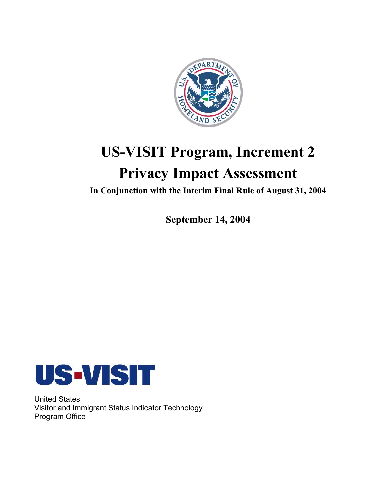

# **US-VISIT Program, Increment 2 Privacy Impact Assessment**

**In Conjunction with the Interim Final Rule of August 31, 2004** 

**September 14, 2004** 



United States Visitor and Immigrant Status Indicator Technology Program Office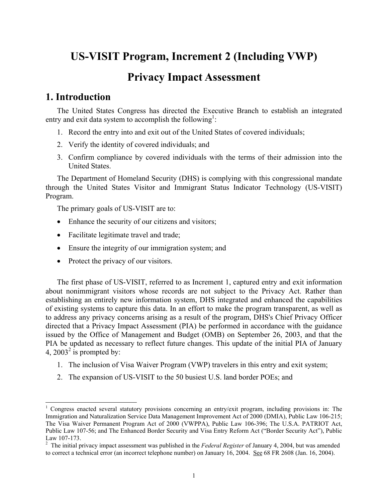# **US-VISIT Program, Increment 2 (Including VWP)**

# **Privacy Impact Assessment**

# **1. Introduction**

 $\overline{a}$ 

The United States Congress has directed the Executive Branch to establish an integrated entry and exit data system to accomplish the following<sup>1</sup>:

- 1. Record the entry into and exit out of the United States of covered individuals;
- 2. Verify the identity of covered individuals; and
- 3. Confirm compliance by covered individuals with the terms of their admission into the United States.

The Department of Homeland Security (DHS) is complying with this congressional mandate through the United States Visitor and Immigrant Status Indicator Technology (US-VISIT) Program.

The primary goals of US-VISIT are to:

- Enhance the security of our citizens and visitors;
- Facilitate legitimate travel and trade;
- Ensure the integrity of our immigration system; and
- Protect the privacy of our visitors.

The first phase of US-VISIT, referred to as Increment 1, captured entry and exit information about nonimmigrant visitors whose records are not subject to the Privacy Act. Rather than establishing an entirely new information system, DHS integrated and enhanced the capabilities of existing systems to capture this data. In an effort to make the program transparent, as well as to address any privacy concerns arising as a result of the program, DHS's Chief Privacy Officer directed that a Privacy Impact Assessment (PIA) be performed in accordance with the guidance issued by the Office of Management and Budget (OMB) on September 26, 2003, and that the PIA be updated as necessary to reflect future changes. This update of the initial PIA of January 4, 2003<sup>2</sup> is prompted by:

- 1. The inclusion of Visa Waiver Program (VWP) travelers in this entry and exit system;
- 2. The expansion of US-VISIT to the 50 busiest U.S. land border POEs; and

<sup>&</sup>lt;sup>1</sup> Congress enacted several statutory provisions concerning an entry/exit program, including provisions in: The Immigration and Naturalization Service Data Management Improvement Act of 2000 (DMIA), Public Law 106-215; The Visa Waiver Permanent Program Act of 2000 (VWPPA), Public Law 106-396; The U.S.A. PATRIOT Act, Public Law 107-56; and The Enhanced Border Security and Visa Entry Reform Act ("Border Security Act"), Public Law 107-173.

 2 The initial privacy impact assessment was published in the *Federal Register* of January 4, 2004, but was amended to correct a technical error (an incorrect telephone number) on January 16, 2004. See 68 FR 2608 (Jan. 16, 2004).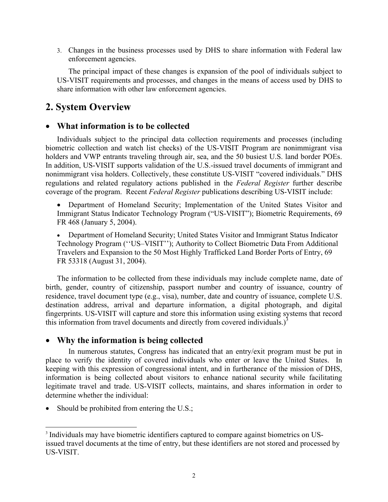3. Changes in the business processes used by DHS to share information with Federal law enforcement agencies.

The principal impact of these changes is expansion of the pool of individuals subject to US-VISIT requirements and processes, and changes in the means of access used by DHS to share information with other law enforcement agencies.

# **2. System Overview**

### • **What information is to be collected**

Individuals subject to the principal data collection requirements and processes (including biometric collection and watch list checks) of the US-VISIT Program are nonimmigrant visa holders and VWP entrants traveling through air, sea, and the 50 busiest U.S. land border POEs. In addition, US-VISIT supports validation of the U.S.-issued travel documents of immigrant and nonimmigrant visa holders. Collectively, these constitute US-VISIT "covered individuals." DHS regulations and related regulatory actions published in the *Federal Register* further describe coverage of the program. Recent *Federal Register* publications describing US-VISIT include:

• Department of Homeland Security; Implementation of the United States Visitor and Immigrant Status Indicator Technology Program ("US-VISIT"); Biometric Requirements, 69 FR 468 (January 5, 2004).

• Department of Homeland Security; United States Visitor and Immigrant Status Indicator Technology Program (''US–VISIT''); Authority to Collect Biometric Data From Additional Travelers and Expansion to the 50 Most Highly Trafficked Land Border Ports of Entry, 69 FR 53318 (August 31, 2004).

this information from travel documents and directly from covered individuals.) $^3$ The information to be collected from these individuals may include complete name, date of birth, gender, country of citizenship, passport number and country of issuance, country of residence, travel document type (e.g., visa), number, date and country of issuance, complete U.S. destination address, arrival and departure information, a digital photograph, and digital fingerprints. US-VISIT will capture and store this information using existing systems that record

### • **Why the information is being collected**

In numerous statutes, Congress has indicated that an entry/exit program must be put in place to verify the identity of covered individuals who enter or leave the United States. In keeping with this expression of congressional intent, and in furtherance of the mission of DHS, information is being collected about visitors to enhance national security while facilitating legitimate travel and trade. US-VISIT collects, maintains, and shares information in order to determine whether the individual:

• Should be prohibited from entering the U.S.;

 $\overline{a}$ 

[<sup>3</sup>](#page-3-0) Individuals may have biometric identifiers captured to compare against biometrics on USissued travel documents at the time of entry, but these identifiers are not stored and processed by US-VISIT.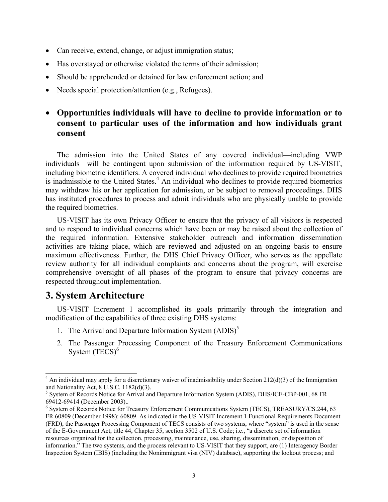- <span id="page-3-0"></span>• Can receive, extend, change, or adjust immigration status;
- Has overstayed or otherwise violated the terms of their admission;
- Should be apprehended or detained for law enforcement action; and
- Needs special protection/attention (e.g., Refugees).

### • **Opportunities individuals will have to decline to provide information or to consent to particular uses of the information and how individuals grant consent**

The admission into the United States of any covered individual—including VWP individuals—will be contingent upon submission of the information required by US-VISIT, including biometric identifiers. A covered individual who declines to provide required biometrics is inadmissible to the United States.<sup>4</sup> An individual who declines to provide required biometrics may withdraw his or her application for admission, or be subject to removal proceedings. DHS has instituted procedures to process and admit individuals who are physically unable to provide the required biometrics.

US-VISIT has its own Privacy Officer to ensure that the privacy of all visitors is respected and to respond to individual concerns which have been or may be raised about the collection of the required information. Extensive stakeholder outreach and information dissemination activities are taking place, which are reviewed and adjusted on an ongoing basis to ensure maximum effectiveness. Further, the DHS Chief Privacy Officer, who serves as the appellate review authority for all individual complaints and concerns about the program, will exercise comprehensive oversight of all phases of the program to ensure that privacy concerns are respected throughout implementation.

# **3. System Architecture**

 $\overline{a}$ 

US-VISIT Increment 1 accomplished its goals primarily through the integration and modification of the capabilities of three existing DHS systems:

- 1. The Arrival and Departure Information System  $(ADIS)^5$
- 2. The Passenger Processing Component of the Treasury Enforcement Communications System  $(T\bar{ECS})^6$

 $4$  An individual may apply for a discretionary waiver of inadmissibility under Section 212(d)(3) of the Immigration and Nationality Act, 8 U.S.C. 1182(d)(3).

<sup>&</sup>lt;sup>5</sup> System of Records Notice for Arrival and Departure Information System (ADIS), DHS/ICE-CBP-001, 68 FR 69412-69414 (December 2003).. 6

 FR 60809 (December 1998): 60809. As indicated in the US-VISIT Increment 1 Functional Requirements Document information." The two systems, and the process relevant to US-VISIT that they support, are (1) Interagency Border <sup>6</sup> System of Records Notice for Treasury Enforcement Communications System (TECS), TREASURY/CS.244, 63 (FRD), the Passenger Processing Component of TECS consists of two systems, where "system" is used in the sense of the E-Government Act, title 44, Chapter 35, section 3502 of U.S. Code; i.e., "a discrete set of information resources organized for the collection, processing, maintenance, use, sharing, dissemination, or disposition of Inspection System (IBIS) (including the Nonimmigrant visa (NIV) database), supporting the lookout process; and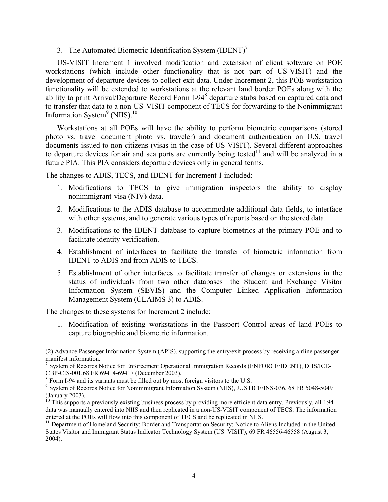3. The Automated Biometric Identification System (IDENT)<sup>7</sup>

Information System $^9$  (NIIS).<sup>10</sup> US-VISIT Increment 1 involved modification and extension of client software on POE workstations (which include other functionality that is not part of US-VISIT) and the development of departure devices to collect exit data. Under Increment 2, this POE workstation functionality will be extended to workstations at the relevant land border POEs along with the ability to print Arrival/Departure Record Form I-94<sup>8</sup> departure stubs based on captured data and to transfer that data to a non-US-VISIT component of TECS for forwarding to the Nonimmigrant

Workstations at all POEs will have the ability to perform biometric comparisons (stored photo vs. travel document photo vs. traveler) and document authentication on U.S. travel documents issued to non-citizens (visas in the case of US-VISIT). Several different approaches to departure devices for air and sea ports are currently being tested<sup>11</sup> and will be analyzed in a future PIA. This PIA considers departure devices only in general terms.

The changes to ADIS, TECS, and IDENT for Increment 1 included:

- 1. Modifications to TECS to give immigration inspectors the ability to display nonimmigrant-visa (NIV) data.
- 2. Modifications to the ADIS database to accommodate additional data fields, to interface with other systems, and to generate various types of reports based on the stored data.
- 3. Modifications to the IDENT database to capture biometrics at the primary POE and to facilitate identity verification.
- 4. Establishment of interfaces to facilitate the transfer of biometric information from IDENT to ADIS and from ADIS to TECS.
- 5. Establishment of other interfaces to facilitate transfer of changes or extensions in the status of individuals from two other databases—the Student and Exchange Visitor Information System (SEVIS) and the Computer Linked Application Information Management System (CLAIMS 3) to ADIS.

The changes to these systems for Increment 2 include:

 $\overline{a}$ 

1. Modification of existing workstations in the Passport Control areas of land POEs to capture biographic and biometric information.

<sup>(2)</sup> Advance Passenger Information System (APIS), supporting the entry/exit process by receiving airline passenger manifest information.

<sup>&</sup>lt;sup>7</sup> System of Records Notice for Enforcement Operational Immigration Records (ENFORCE/IDENT), DHS/ICE CBP-CIS-001,68 FR 69414-69417 (December 2003).

 $^8$  Form I-94 and its variants must be filled out by most foreign visitors to the U.S.  $^9$  System of Because Notice for Nonimmigrant Information System (NIIS). HISTI

 System of Records Notice for Nonimmigrant Information System (NIIS), JUSTICE/INS-036, 68 FR 5048-5049 (January 2003).

<sup>&</sup>lt;sup>10</sup> This supports a previously existing business process by providing more efficient data entry. Previously, all I-94 data was manually entered into NIIS and then replicated in a non-US-VISIT component of TECS. The information

entered at the POEs will flow into this component of TECS and be replicated in NIIS.<br><sup>11</sup> Department of Homeland Security; Border and Transportation Security; Notice to Aliens Included in the United States Visitor and Immigrant Status Indicator Technology System (US–VISIT), 69 FR 46556-46558 (August 3, 2004).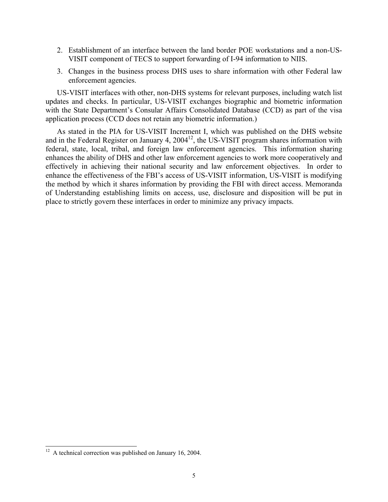- 2. Establishment of an interface between the land border POE workstations and a non-US-VISIT component of TECS to support forwarding of I-94 information to NIIS.
- 3. Changes in the business process DHS uses to share information with other Federal law enforcement agencies.

US-VISIT interfaces with other, non-DHS systems for relevant purposes, including watch list updates and checks. In particular, US-VISIT exchanges biographic and biometric information with the State Department's Consular Affairs Consolidated Database (CCD) as part of the visa application process (CCD does not retain any biometric information.)

As stated in the PIA for US-VISIT Increment I, which was published on the DHS website and in the Federal Register on January 4, 2004<sup>12</sup>, the US-VISIT program shares information with federal, state, local, tribal, and foreign law enforcement agencies. This information sharing enhances the ability of DHS and other law enforcement agencies to work more cooperatively and effectively in achieving their national security and law enforcement objectives. In order to enhance the effectiveness of the FBI's access of US-VISIT information, US-VISIT is modifying the method by which it shares information by providing the FBI with direct access. Memoranda of Understanding establishing limits on access, use, disclosure and disposition will be put in place to strictly govern these interfaces in order to minimize any privacy impacts.

 $\overline{\phantom{a}}$ 

 $12$  A technical correction was published on January 16, 2004.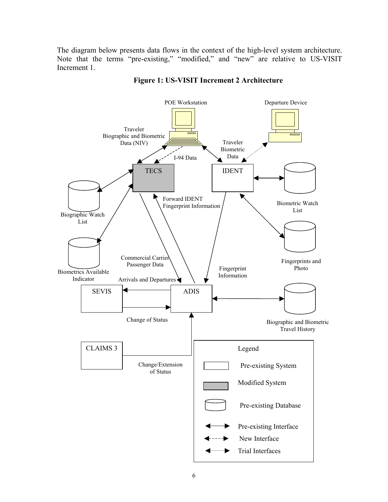The diagram below presents data flows in the context of the high-level system architecture. Note that the terms "pre-existing," "modified," and "new" are relative to US-VISIT Increment 1.



#### **Figure 1: US-VISIT Increment 2 Architecture**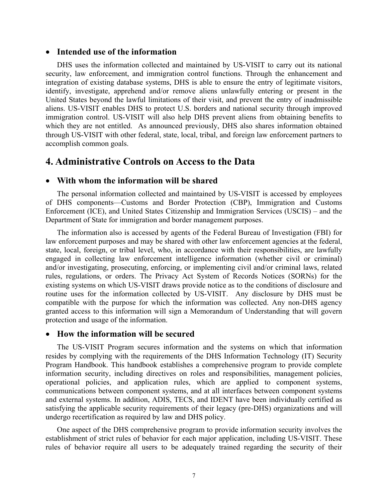#### • **Intended use of the information**

DHS uses the information collected and maintained by US-VISIT to carry out its national security, law enforcement, and immigration control functions. Through the enhancement and integration of existing database systems, DHS is able to ensure the entry of legitimate visitors, identify, investigate, apprehend and/or remove aliens unlawfully entering or present in the United States beyond the lawful limitations of their visit, and prevent the entry of inadmissible aliens. US-VISIT enables DHS to protect U.S. borders and national security through improved immigration control. US-VISIT will also help DHS prevent aliens from obtaining benefits to which they are not entitled. As announced previously, DHS also shares information obtained through US-VISIT with other federal, state, local, tribal, and foreign law enforcement partners to accomplish common goals.

### **4. Administrative Controls on Access to the Data**

#### • **With whom the information will be shared**

The personal information collected and maintained by US-VISIT is accessed by employees of DHS components—Customs and Border Protection (CBP), Immigration and Customs Enforcement (ICE), and United States Citizenship and Immigration Services (USCIS) – and the Department of State for immigration and border management purposes.

The information also is accessed by agents of the Federal Bureau of Investigation (FBI) for law enforcement purposes and may be shared with other law enforcement agencies at the federal, state, local, foreign, or tribal level, who, in accordance with their responsibilities, are lawfully engaged in collecting law enforcement intelligence information (whether civil or criminal) and/or investigating, prosecuting, enforcing, or implementing civil and/or criminal laws, related rules, regulations, or orders. The Privacy Act System of Records Notices (SORNs) for the existing systems on which US-VISIT draws provide notice as to the conditions of disclosure and routine uses for the information collected by US-VISIT. Any disclosure by DHS must be compatible with the purpose for which the information was collected. Any non-DHS agency granted access to this information will sign a Memorandum of Understanding that will govern protection and usage of the information.

#### • **How the information will be secured**

The US-VISIT Program secures information and the systems on which that information resides by complying with the requirements of the DHS Information Technology (IT) Security Program Handbook. This handbook establishes a comprehensive program to provide complete information security, including directives on roles and responsibilities, management policies, operational policies, and application rules, which are applied to component systems, communications between component systems, and at all interfaces between component systems and external systems. In addition, ADIS, TECS, and IDENT have been individually certified as satisfying the applicable security requirements of their legacy (pre-DHS) organizations and will undergo recertification as required by law and DHS policy.

One aspect of the DHS comprehensive program to provide information security involves the establishment of strict rules of behavior for each major application, including US-VISIT. These rules of behavior require all users to be adequately trained regarding the security of their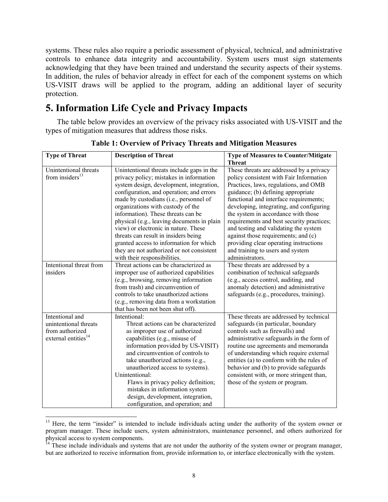systems. These rules also require a periodic assessment of physical, technical, and administrative controls to enhance data integrity and accountability. System users must sign statements acknowledging that they have been trained and understand the security aspects of their systems. In addition, the rules of behavior already in effect for each of the component systems on which US-VISIT draws will be applied to the program, adding an additional layer of security protection.

# **5. Information Life Cycle and Privacy Impacts**

The table below provides an overview of the privacy risks associated with US-VISIT and the types of mitigation measures that address those risks.

| <b>Type of Threat</b>           | <b>Description of Threat</b>               | <b>Type of Measures to Counter/Mitigate</b> |
|---------------------------------|--------------------------------------------|---------------------------------------------|
|                                 |                                            | <b>Threat</b>                               |
| Unintentional threats           | Unintentional threats include gaps in the  | These threats are addressed by a privacy    |
| from insiders <sup>13</sup>     | privacy policy; mistakes in information    | policy consistent with Fair Information     |
|                                 | system design, development, integration,   | Practices, laws, regulations, and OMB       |
|                                 | configuration, and operation; and errors   | guidance; (b) defining appropriate          |
|                                 | made by custodians (i.e., personnel of     | functional and interface requirements;      |
|                                 | organizations with custody of the          | developing, integrating, and configuring    |
|                                 | information). These threats can be         | the system in accordance with those         |
|                                 | physical (e.g., leaving documents in plain | requirements and best security practices;   |
|                                 | view) or electronic in nature. These       | and testing and validating the system       |
|                                 | threats can result in insiders being       | against those requirements; and (c)         |
|                                 | granted access to information for which    | providing clear operating instructions      |
|                                 | they are not authorized or not consistent  | and training to users and system            |
|                                 | with their responsibilities.               | administrators.                             |
| Intentional threat from         | Threat actions can be characterized as     | These threats are addressed by a            |
| insiders                        | improper use of authorized capabilities    | combination of technical safeguards         |
|                                 | (e.g., browsing, removing information      | (e.g., access control, auditing, and        |
|                                 | from trash) and circumvention of           | anomaly detection) and administrative       |
|                                 | controls to take unauthorized actions      | safeguards (e.g., procedures, training).    |
|                                 | (e.g., removing data from a workstation    |                                             |
|                                 | that has been not been shut off).          |                                             |
| Intentional and                 | Intentional:                               | These threats are addressed by technical    |
| unintentional threats           | Threat actions can be characterized        | safeguards (in particular, boundary         |
| from authorized                 | as improper use of authorized              | controls such as firewalls) and             |
| external entities <sup>14</sup> | capabilities (e.g., misuse of              | administrative safeguards in the form of    |
|                                 | information provided by US-VISIT)          | routine use agreements and memoranda        |
|                                 | and circumvention of controls to           | of understanding which require external     |
|                                 | take unauthorized actions (e.g.,           | entities (a) to conform with the rules of   |
|                                 | unauthorized access to systems).           | behavior and (b) to provide safeguards      |
|                                 | Unintentional:                             | consistent with, or more stringent than,    |
|                                 | Flaws in privacy policy definition;        | those of the system or program.             |
|                                 | mistakes in information system             |                                             |
|                                 | design, development, integration,          |                                             |
|                                 | configuration, and operation; and          |                                             |

**Table 1: Overview of Privacy Threats and Mitigation Measures** 

 $\overline{\phantom{a}}$ <sup>13</sup> Here, the term "insider" is intended to include individuals acting under the authority of the system owner or program manager. These include users, system administrators, maintenance personnel, and others authorized for physical access to system components.

<sup>&</sup>lt;sup>14</sup> These include individuals and systems that are not under the authority of the system owner or program manager, but are authorized to receive information from, provide information to, or interface electronically with the system.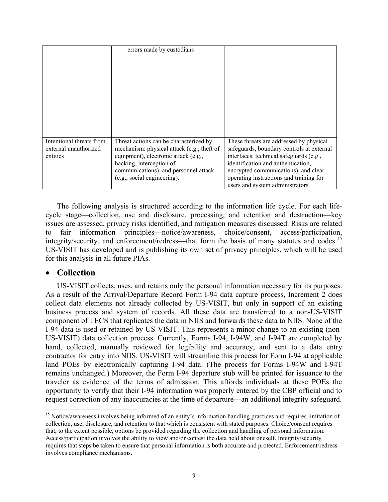|                                   | errors made by custodians                                                          |                                                                                      |
|-----------------------------------|------------------------------------------------------------------------------------|--------------------------------------------------------------------------------------|
|                                   |                                                                                    |                                                                                      |
|                                   |                                                                                    |                                                                                      |
|                                   |                                                                                    |                                                                                      |
|                                   |                                                                                    |                                                                                      |
|                                   |                                                                                    |                                                                                      |
|                                   |                                                                                    |                                                                                      |
|                                   |                                                                                    |                                                                                      |
|                                   |                                                                                    |                                                                                      |
| Intentional threats from          | Threat actions can be characterized by                                             | These threats are addressed by physical                                              |
| external unauthorized<br>entities | mechanism: physical attack (e.g., theft of<br>equipment), electronic attack (e.g., | safeguards, boundary controls at external<br>interfaces, technical safeguards (e.g., |
|                                   | hacking, interception of                                                           | identification and authentication,                                                   |
|                                   | communications), and personnel attack                                              | encrypted communications), and clear                                                 |
|                                   | (e.g., social engineering).                                                        | operating instructions and training for                                              |
|                                   |                                                                                    | users and system administrators.                                                     |

The following analysis is structured according to the information life cycle. For each lifecycle stage—collection, use and disclosure, processing, and retention and destruction—key issues are assessed, privacy risks identified, and mitigation measures discussed. Risks are related to fair information principles—notice/awareness, choice/consent, access/participation, integrity/security, and enforcement/redress—that form the basis of many statutes and codes.<sup>15</sup> US-VISIT has developed and is publishing its own set of privacy principles, which will be used for this analysis in all future PIAs.

#### • **Collection**

request correction of any inaccuracies at the time of departure—an additional integrity safeguard. US-VISIT collects, uses, and retains only the personal information necessary for its purposes. As a result of the Arrival/Departure Record Form I-94 data capture process, Increment 2 does collect data elements not already collected by US-VISIT, but only in support of an existing business process and system of records. All these data are transferred to a non-US-VISIT component of TECS that replicates the data in NIIS and forwards these data to NIIS. None of the I-94 data is used or retained by US-VISIT. This represents a minor change to an existing (non-US-VISIT) data collection process. Currently, Forms I-94, I-94W, and I-94T are completed by hand, collected, manually reviewed for legibility and accuracy, and sent to a data entry contractor for entry into NIIS. US-VISIT will streamline this process for Form I-94 at applicable land POEs by electronically capturing I-94 data. (The process for Forms I-94W and I-94T remains unchanged.) Moreover, the Form I-94 departure stub will be printed for issuance to the traveler as evidence of the terms of admission. This affords individuals at these POEs the opportunity to verify that their I-94 information was properly entered by the CBP official and to request correction of any inaccuracies at the time of departure—an additional integrity safeguard.<br><sup>15</sup> Notice/awareness involves being informed of an entity's information handling practices and requires limitation of

l collection, use, disclosure, and retention to that which is consistent with stated purposes. Choice/consent requires that, to the extent possible, options be provided regarding the collection and handling of personal information. Access/participation involves the ability to view and/or contest the data held about oneself. Integrity/security requires that steps be taken to ensure that personal information is both accurate and protected. Enforcement/redress involves compliance mechanisms.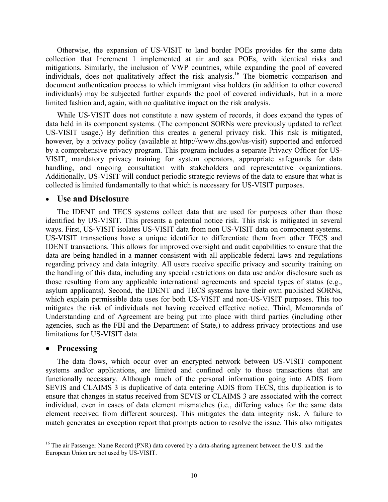Otherwise, the expansion of US-VISIT to land border POEs provides for the same data collection that Increment 1 implemented at air and sea POEs, with identical risks and mitigations. Similarly, the inclusion of VWP countries, while expanding the pool of covered individuals, does not qualitatively affect the risk analysis.<sup>16</sup> The biometric comparison and document authentication process to which immigrant visa holders (in addition to other covered individuals) may be subjected further expands the pool of covered individuals, but in a more limited fashion and, again, with no qualitative impact on the risk analysis.

While US-VISIT does not constitute a new system of records, it does expand the types of data held in its component systems. (The component SORNs were previously updated to reflect US-VISIT usage.) By definition this creates a general privacy risk. This risk is mitigated, however, by a privacy policy (available at http://www.dhs.gov/us-visit) supported and enforced by a comprehensive privacy program. This program includes a separate Privacy Officer for US-VISIT, mandatory privacy training for system operators, appropriate safeguards for data handling, and ongoing consultation with stakeholders and representative organizations. Additionally, US-VISIT will conduct periodic strategic reviews of the data to ensure that what is collected is limited fundamentally to that which is necessary for US-VISIT purposes.

#### • **Use and Disclosure**

The IDENT and TECS systems collect data that are used for purposes other than those identified by US-VISIT. This presents a potential notice risk. This risk is mitigated in several ways. First, US-VISIT isolates US-VISIT data from non US-VISIT data on component systems. US-VISIT transactions have a unique identifier to differentiate them from other TECS and IDENT transactions. This allows for improved oversight and audit capabilities to ensure that the data are being handled in a manner consistent with all applicable federal laws and regulations regarding privacy and data integrity. All users receive specific privacy and security training on the handling of this data, including any special restrictions on data use and/or disclosure such as those resulting from any applicable international agreements and special types of status (e.g., asylum applicants). Second, the IDENT and TECS systems have their own published SORNs, which explain permissible data uses for both US-VISIT and non-US-VISIT purposes. This too mitigates the risk of individuals not having received effective notice. Third, Memoranda of Understanding and of Agreement are being put into place with third parties (including other agencies, such as the FBI and the Department of State,) to address privacy protections and use limitations for US-VISIT data.

#### • **Processing**

 $\overline{\phantom{a}}$ 

The data flows, which occur over an encrypted network between US-VISIT component systems and/or applications, are limited and confined only to those transactions that are functionally necessary. Although much of the personal information going into ADIS from SEVIS and CLAIMS 3 is duplicative of data entering ADIS from TECS, this duplication is to ensure that changes in status received from SEVIS or CLAIMS 3 are associated with the correct individual, even in cases of data element mismatches (i.e., differing values for the same data element received from different sources). This mitigates the data integrity risk. A failure to match generates an exception report that prompts action to resolve the issue. This also mitigates

<sup>&</sup>lt;sup>16</sup> The air Passenger Name Record (PNR) data covered by a data-sharing agreement between the U.S. and the European Union are not used by US-VISIT.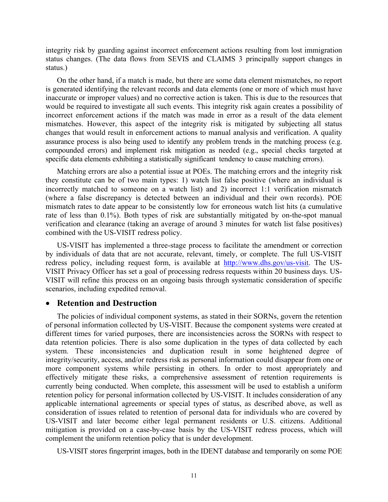integrity risk by guarding against incorrect enforcement actions resulting from lost immigration status changes. (The data flows from SEVIS and CLAIMS 3 principally support changes in status.)

On the other hand, if a match is made, but there are some data element mismatches, no report is generated identifying the relevant records and data elements (one or more of which must have inaccurate or improper values) and no corrective action is taken. This is due to the resources that would be required to investigate all such events. This integrity risk again creates a possibility of incorrect enforcement actions if the match was made in error as a result of the data element mismatches. However, this aspect of the integrity risk is mitigated by subjecting all status changes that would result in enforcement actions to manual analysis and verification. A quality assurance process is also being used to identify any problem trends in the matching process (e.g. compounded errors) and implement risk mitigation as needed (e.g., special checks targeted at specific data elements exhibiting a statistically significant tendency to cause matching errors).

Matching errors are also a potential issue at POEs. The matching errors and the integrity risk they constitute can be of two main types: 1) watch list false positive (where an individual is incorrectly matched to someone on a watch list) and 2) incorrect 1:1 verification mismatch (where a false discrepancy is detected between an individual and their own records). POE mismatch rates to date appear to be consistently low for erroneous watch list hits (a cumulative rate of less than 0.1%). Both types of risk are substantially mitigated by on-the-spot manual verification and clearance (taking an average of around 3 minutes for watch list false positives) combined with the US-VISIT redress policy.

US-VISIT has implemented a three-stage process to facilitate the amendment or correction by individuals of data that are not accurate, relevant, timely, or complete. The full US-VISIT redress policy, including request form, is available at http://www.dhs.gov/us-visit. The US-VISIT Privacy Officer has set a goal of processing redress requests within 20 business days. US-VISIT will refine this process on an ongoing basis through systematic consideration of specific scenarios, including expedited removal.

#### • **Retention and Destruction**

The policies of individual component systems, as stated in their SORNs, govern the retention of personal information collected by US-VISIT. Because the component systems were created at different times for varied purposes, there are inconsistencies across the SORNs with respect to data retention policies. There is also some duplication in the types of data collected by each system. These inconsistencies and duplication result in some heightened degree of integrity/security, access, and/or redress risk as personal information could disappear from one or more component systems while persisting in others. In order to most appropriately and effectively mitigate these risks, a comprehensive assessment of retention requirements is currently being conducted. When complete, this assessment will be used to establish a uniform retention policy for personal information collected by US-VISIT. It includes consideration of any applicable international agreements or special types of status, as described above, as well as consideration of issues related to retention of personal data for individuals who are covered by US-VISIT and later become either legal permanent residents or U.S. citizens. Additional mitigation is provided on a case-by-case basis by the US-VISIT redress process, which will complement the uniform retention policy that is under development.

US-VISIT stores fingerprint images, both in the IDENT database and temporarily on some POE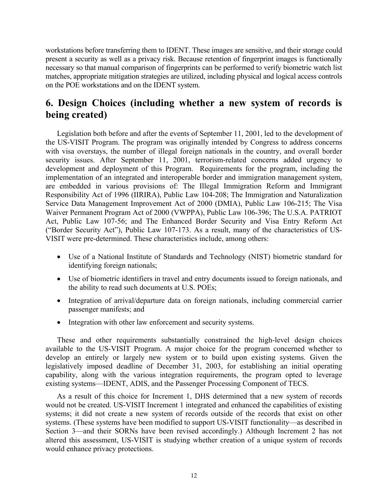workstations before transferring them to IDENT. These images are sensitive, and their storage could present a security as well as a privacy risk. Because retention of fingerprint images is functionally necessary so that manual comparison of fingerprints can be performed to verify biometric watch list matches, appropriate mitigation strategies are utilized, including physical and logical access controls on the POE workstations and on the IDENT system.

# **6. Design Choices (including whether a new system of records is being created)**

Legislation both before and after the events of September 11, 2001, led to the development of the US-VISIT Program. The program was originally intended by Congress to address concerns with visa overstays, the number of illegal foreign nationals in the country, and overall border security issues. After September 11, 2001, terrorism-related concerns added urgency to development and deployment of this Program. Requirements for the program, including the implementation of an integrated and interoperable border and immigration management system, are embedded in various provisions of: The Illegal Immigration Reform and Immigrant Responsibility Act of 1996 (IIRIRA), Public Law 104-208; The Immigration and Naturalization Service Data Management Improvement Act of 2000 (DMIA), Public Law 106-215; The Visa Waiver Permanent Program Act of 2000 (VWPPA), Public Law 106-396; The U.S.A. PATRIOT Act, Public Law 107-56; and The Enhanced Border Security and Visa Entry Reform Act ("Border Security Act"), Public Law 107-173. As a result, many of the characteristics of US-VISIT were pre-determined. These characteristics include, among others:

- Use of a National Institute of Standards and Technology (NIST) biometric standard for identifying foreign nationals;
- Use of biometric identifiers in travel and entry documents issued to foreign nationals, and the ability to read such documents at U.S. POEs;
- Integration of arrival/departure data on foreign nationals, including commercial carrier passenger manifests; and
- Integration with other law enforcement and security systems.

These and other requirements substantially constrained the high-level design choices available to the US-VISIT Program. A major choice for the program concerned whether to develop an entirely or largely new system or to build upon existing systems. Given the legislatively imposed deadline of December 31, 2003, for establishing an initial operating capability, along with the various integration requirements, the program opted to leverage existing systems—IDENT, ADIS, and the Passenger Processing Component of TECS.

As a result of this choice for Increment 1, DHS determined that a new system of records would not be created. US-VISIT Increment 1 integrated and enhanced the capabilities of existing systems; it did not create a new system of records outside of the records that exist on other systems. (These systems have been modified to support US-VISIT functionality—as described in Section 3—and their SORNs have been revised accordingly.) Although Increment 2 has not altered this assessment, US-VISIT is studying whether creation of a unique system of records would enhance privacy protections.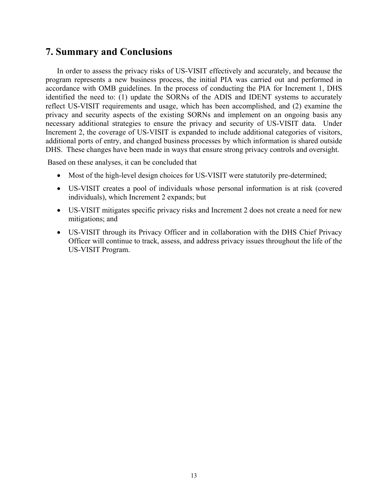# **7. Summary and Conclusions**

In order to assess the privacy risks of US-VISIT effectively and accurately, and because the program represents a new business process, the initial PIA was carried out and performed in accordance with OMB guidelines. In the process of conducting the PIA for Increment 1, DHS identified the need to: (1) update the SORNs of the ADIS and IDENT systems to accurately reflect US-VISIT requirements and usage, which has been accomplished, and (2) examine the privacy and security aspects of the existing SORNs and implement on an ongoing basis any necessary additional strategies to ensure the privacy and security of US-VISIT data. Under Increment 2, the coverage of US-VISIT is expanded to include additional categories of visitors, additional ports of entry, and changed business processes by which information is shared outside DHS. These changes have been made in ways that ensure strong privacy controls and oversight.

Based on these analyses, it can be concluded that

- Most of the high-level design choices for US-VISIT were statutorily pre-determined;
- US-VISIT creates a pool of individuals whose personal information is at risk (covered individuals), which Increment 2 expands; but
- US-VISIT mitigates specific privacy risks and Increment 2 does not create a need for new mitigations; and
- US-VISIT through its Privacy Officer and in collaboration with the DHS Chief Privacy Officer will continue to track, assess, and address privacy issues throughout the life of the US-VISIT Program.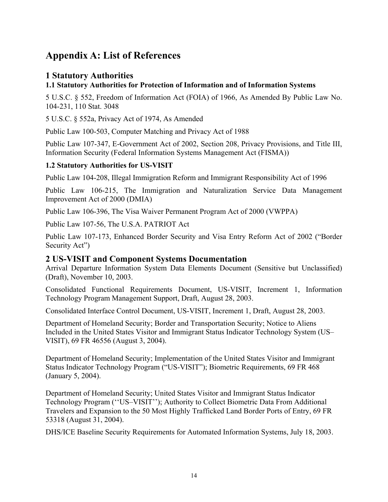# **Appendix A: List of References**

### **1 Statutory Authorities**

### **1.1 Statutory Authorities for Protection of Information and of Information Systems**

5 U.S.C. § 552, Freedom of Information Act (FOIA) of 1966, As Amended By Public Law No. 104-231, 110 Stat. 3048

5 U.S.C. § 552a, Privacy Act of 1974, As Amended

Public Law 100-503, Computer Matching and Privacy Act of 1988

Public Law 107-347, E-Government Act of 2002, Section 208, Privacy Provisions, and Title III, Information Security (Federal Information Systems Management Act (FISMA))

### **1.2 Statutory Authorities for US-VISIT**

Public Law 104-208, Illegal Immigration Reform and Immigrant Responsibility Act of 1996

Public Law 106-215, The Immigration and Naturalization Service Data Management Improvement Act of 2000 (DMIA)

Public Law 106-396, The Visa Waiver Permanent Program Act of 2000 (VWPPA)

Public Law 107-56, The U.S.A. PATRIOT Act

Public Law 107-173, Enhanced Border Security and Visa Entry Reform Act of 2002 ("Border Security Act")

### **2 US-VISIT and Component Systems Documentation**

Arrival Departure Information System Data Elements Document (Sensitive but Unclassified) (Draft), November 10, 2003.

Consolidated Functional Requirements Document, US-VISIT, Increment 1, Information Technology Program Management Support, Draft, August 28, 2003.

Consolidated Interface Control Document, US-VISIT, Increment 1, Draft, August 28, 2003.

Department of Homeland Security; Border and Transportation Security; Notice to Aliens Included in the United States Visitor and Immigrant Status Indicator Technology System (US– VISIT), 69 FR 46556 (August 3, 2004).

Department of Homeland Security; Implementation of the United States Visitor and Immigrant Status Indicator Technology Program ("US-VISIT"); Biometric Requirements, 69 FR 468 (January 5, 2004).

Department of Homeland Security; United States Visitor and Immigrant Status Indicator Technology Program (''US–VISIT''); Authority to Collect Biometric Data From Additional Travelers and Expansion to the 50 Most Highly Trafficked Land Border Ports of Entry, 69 FR 53318 (August 31, 2004).

DHS/ICE Baseline Security Requirements for Automated Information Systems, July 18, 2003.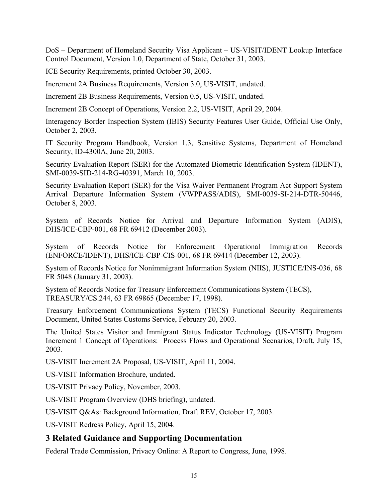DoS – Department of Homeland Security Visa Applicant – US-VISIT/IDENT Lookup Interface Control Document, Version 1.0, Department of State, October 31, 2003.

ICE Security Requirements, printed October 30, 2003.

Increment 2A Business Requirements, Version 3.0, US-VISIT, undated.

Increment 2B Business Requirements, Version 0.5, US-VISIT, undated.

Increment 2B Concept of Operations, Version 2.2, US-VISIT, April 29, 2004.

Interagency Border Inspection System (IBIS) Security Features User Guide, Official Use Only, October 2, 2003.

IT Security Program Handbook, Version 1.3, Sensitive Systems, Department of Homeland Security, ID-4300A, June 20, 2003.

Security Evaluation Report (SER) for the Automated Biometric Identification System (IDENT), SMI-0039-SID-214-RG-40391, March 10, 2003.

Security Evaluation Report (SER) for the Visa Waiver Permanent Program Act Support System Arrival Departure Information System (VWPPASS/ADIS), SMI-0039-SI-214-DTR-50446, October 8, 2003.

System of Records Notice for Arrival and Departure Information System (ADIS), DHS/ICE-CBP-001, 68 FR 69412 (December 2003).

System of Records Notice for Enforcement Operational Immigration Records (ENFORCE/IDENT), DHS/ICE-CBP-CIS-001, 68 FR 69414 (December 12, 2003).

System of Records Notice for Nonimmigrant Information System (NIIS), JUSTICE/INS-036, 68 FR 5048 (January 31, 2003).

System of Records Notice for Treasury Enforcement Communications System (TECS), TREASURY/CS.244, 63 FR 69865 (December 17, 1998).

Treasury Enforcement Communications System (TECS) Functional Security Requirements Document, United States Customs Service, February 20, 2003.

The United States Visitor and Immigrant Status Indicator Technology (US-VISIT) Program Increment 1 Concept of Operations: Process Flows and Operational Scenarios, Draft, July 15, 2003.

US-VISIT Increment 2A Proposal, US-VISIT, April 11, 2004.

US-VISIT Information Brochure, undated.

US-VISIT Privacy Policy, November, 2003.

US-VISIT Program Overview (DHS briefing), undated.

US-VISIT Q&As: Background Information, Draft REV, October 17, 2003.

US-VISIT Redress Policy, April 15, 2004.

### **3 Related Guidance and Supporting Documentation**

Federal Trade Commission, Privacy Online: A Report to Congress, June, 1998.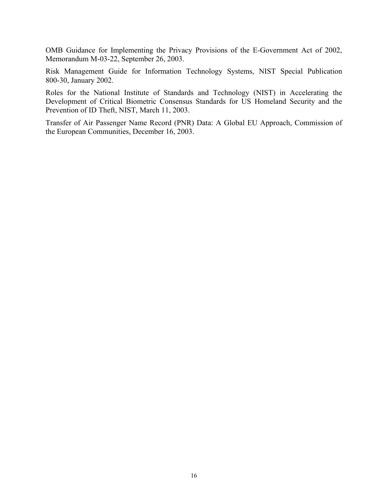OMB Guidance for Implementing the Privacy Provisions of the E-Government Act of 2002, Memorandum M-03-22, September 26, 2003.

Risk Management Guide for Information Technology Systems, NIST Special Publication 800-30, January 2002.

Roles for the National Institute of Standards and Technology (NIST) in Accelerating the Development of Critical Biometric Consensus Standards for US Homeland Security and the Prevention of ID Theft, NIST, March 11, 2003.

Transfer of Air Passenger Name Record (PNR) Data: A Global EU Approach, Commission of the European Communities, December 16, 2003.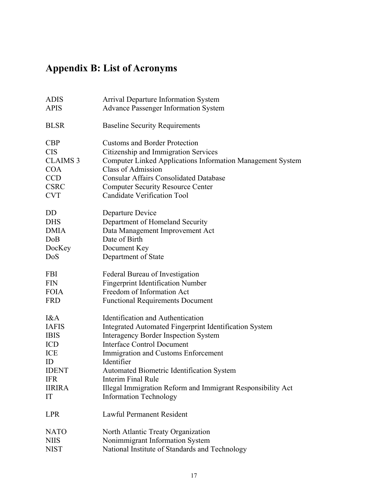# **Appendix B: List of Acronyms**

| <b>ADIS</b>     | <b>Arrival Departure Information System</b>                   |
|-----------------|---------------------------------------------------------------|
| <b>APIS</b>     | <b>Advance Passenger Information System</b>                   |
| <b>BLSR</b>     | <b>Baseline Security Requirements</b>                         |
| <b>CBP</b>      | <b>Customs and Border Protection</b>                          |
| <b>CIS</b>      | Citizenship and Immigration Services                          |
| <b>CLAIMS 3</b> | Computer Linked Applications Information Management System    |
| <b>COA</b>      | <b>Class of Admission</b>                                     |
| <b>CCD</b>      | <b>Consular Affairs Consolidated Database</b>                 |
| <b>CSRC</b>     | <b>Computer Security Resource Center</b>                      |
| <b>CVT</b>      | <b>Candidate Verification Tool</b>                            |
| DD              | Departure Device                                              |
| <b>DHS</b>      | Department of Homeland Security                               |
| <b>DMIA</b>     | Data Management Improvement Act                               |
| DoB             | Date of Birth                                                 |
| DocKey          | Document Key                                                  |
| DoS             | Department of State                                           |
| <b>FBI</b>      | Federal Bureau of Investigation                               |
| <b>FIN</b>      | <b>Fingerprint Identification Number</b>                      |
| <b>FOIA</b>     | Freedom of Information Act                                    |
| <b>FRD</b>      | <b>Functional Requirements Document</b>                       |
| I&A             | Identification and Authentication                             |
| <b>IAFIS</b>    | <b>Integrated Automated Fingerprint Identification System</b> |
| <b>IBIS</b>     | <b>Interagency Border Inspection System</b>                   |
| ICD             | <b>Interface Control Document</b>                             |
| ICE             | Immigration and Customs Enforcement                           |
| ID              | Identifier                                                    |
| <b>IDENT</b>    | <b>Automated Biometric Identification System</b>              |
| <b>IFR</b>      | Interim Final Rule                                            |
| <b>IIRIRA</b>   | Illegal Immigration Reform and Immigrant Responsibility Act   |
| IT              | <b>Information Technology</b>                                 |
| <b>LPR</b>      | <b>Lawful Permanent Resident</b>                              |
| <b>NATO</b>     | North Atlantic Treaty Organization                            |
| <b>NIIS</b>     | Nonimmigrant Information System                               |
| <b>NIST</b>     | National Institute of Standards and Technology                |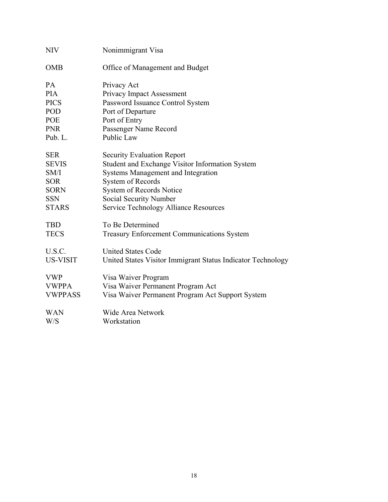| <b>NIV</b>      | Nonimmigrant Visa                                           |
|-----------------|-------------------------------------------------------------|
| <b>OMB</b>      | Office of Management and Budget                             |
| <b>PA</b>       | Privacy Act                                                 |
| <b>PIA</b>      | Privacy Impact Assessment                                   |
| <b>PICS</b>     | Password Issuance Control System                            |
| POD             | Port of Departure                                           |
| <b>POE</b>      | Port of Entry                                               |
| <b>PNR</b>      | Passenger Name Record                                       |
| Pub. L.         | Public Law                                                  |
| <b>SER</b>      | <b>Security Evaluation Report</b>                           |
| <b>SEVIS</b>    | Student and Exchange Visitor Information System             |
| SM/I            | <b>Systems Management and Integration</b>                   |
| <b>SOR</b>      | System of Records                                           |
| <b>SORN</b>     | System of Records Notice                                    |
| <b>SSN</b>      | Social Security Number                                      |
| <b>STARS</b>    | <b>Service Technology Alliance Resources</b>                |
| <b>TBD</b>      | To Be Determined                                            |
| <b>TECS</b>     | <b>Treasury Enforcement Communications System</b>           |
| U.S.C.          | <b>United States Code</b>                                   |
| <b>US-VISIT</b> | United States Visitor Immigrant Status Indicator Technology |
| <b>VWP</b>      | Visa Waiver Program                                         |
| <b>VWPPA</b>    | Visa Waiver Permanent Program Act                           |
| <b>VWPPASS</b>  | Visa Waiver Permanent Program Act Support System            |
| WAN             | <b>Wide Area Network</b>                                    |
| W/S             | Workstation                                                 |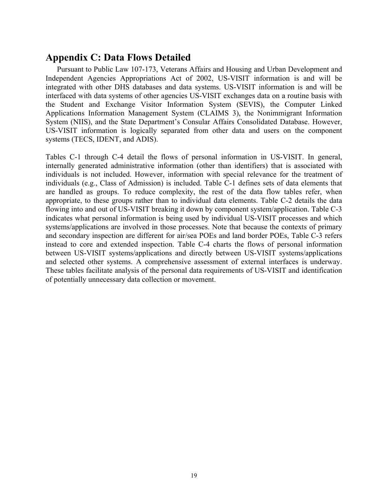# **Appendix C: Data Flows Detailed**

Pursuant to Public Law 107-173, Veterans Affairs and Housing and Urban Development and Independent Agencies Appropriations Act of 2002, US-VISIT information is and will be integrated with other DHS databases and data systems. US-VISIT information is and will be interfaced with data systems of other agencies US-VISIT exchanges data on a routine basis with the Student and Exchange Visitor Information System (SEVIS), the Computer Linked Applications Information Management System (CLAIMS 3), the Nonimmigrant Information System (NIIS), and the State Department's Consular Affairs Consolidated Database. However, US-VISIT information is logically separated from other data and users on the component systems (TECS, IDENT, and ADIS).

Tables C-1 through C-4 detail the flows of personal information in US-VISIT. In general, internally generated administrative information (other than identifiers) that is associated with individuals is not included. However, information with special relevance for the treatment of individuals (e.g., Class of Admission) is included. Table C-1 defines sets of data elements that are handled as groups. To reduce complexity, the rest of the data flow tables refer, when appropriate, to these groups rather than to individual data elements. Table C-2 details the data flowing into and out of US-VISIT breaking it down by component system/application. Table C-3 indicates what personal information is being used by individual US-VISIT processes and which systems/applications are involved in those processes. Note that because the contexts of primary and secondary inspection are different for air/sea POEs and land border POEs, Table C-3 refers instead to core and extended inspection. Table C-4 charts the flows of personal information between US-VISIT systems/applications and directly between US-VISIT systems/applications and selected other systems. A comprehensive assessment of external interfaces is underway. These tables facilitate analysis of the personal data requirements of US-VISIT and identification of potentially unnecessary data collection or movement.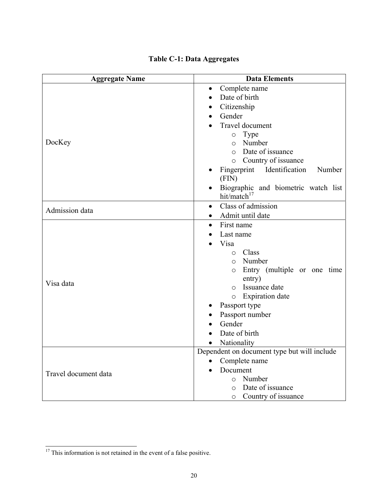| <b>Aggregate Name</b> | <b>Data Elements</b>                             |
|-----------------------|--------------------------------------------------|
|                       | Complete name<br>$\bullet$                       |
|                       | Date of birth<br>$\bullet$                       |
|                       | Citizenship<br>$\bullet$                         |
|                       | Gender                                           |
|                       | Travel document                                  |
|                       | Type<br>$\circ$                                  |
| DocKey                | Number<br>$\circ$                                |
|                       | Date of issuance<br>$\circ$                      |
|                       | Country of issuance<br>$\circ$                   |
|                       | Identification<br>Fingerprint<br>Number<br>(FIN) |
|                       | Biographic and biometric watch list              |
|                       | hit/match $17$                                   |
| Admission data        | Class of admission<br>$\bullet$                  |
|                       | Admit until date<br>$\bullet$                    |
|                       | First name<br>$\bullet$                          |
|                       | Last name                                        |
|                       | Visa                                             |
|                       | Class<br>$\Omega$<br>Number                      |
|                       | $\circ$                                          |
|                       | Entry (multiple or one time<br>$\circ$<br>entry) |
| Visa data             | Issuance date<br>$\Omega$                        |
|                       | <b>Expiration</b> date<br>$\circ$                |
|                       | Passport type                                    |
|                       | Passport number                                  |
|                       | Gender                                           |
|                       | Date of birth                                    |
|                       | Nationality<br>$\bullet$                         |
|                       | Dependent on document type but will include      |
|                       | Complete name<br>$\bullet$                       |
| Travel document data  | Document                                         |
|                       | Number<br>$\circ$                                |
|                       | Date of issuance<br>$\circ$                      |
|                       | Country of issuance<br>$\circ$                   |

# **Table C-1: Data Aggregates**

 $\overline{\phantom{a}}$ 

 $17$  This information is not retained in the event of a false positive.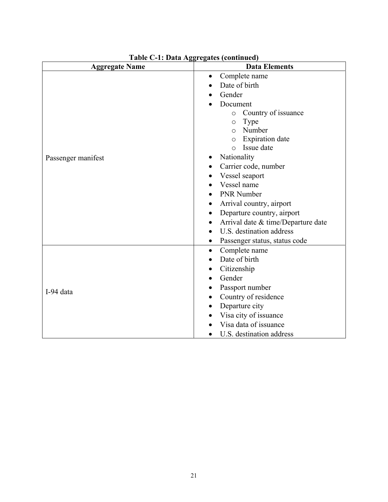| <b>Aggregate Name</b> | <b>Data Elements</b>               |  |  |  |
|-----------------------|------------------------------------|--|--|--|
|                       | Complete name<br>$\bullet$         |  |  |  |
|                       | Date of birth                      |  |  |  |
|                       | Gender                             |  |  |  |
|                       | Document                           |  |  |  |
|                       | Country of issuance<br>$\circ$     |  |  |  |
|                       | Type<br>$\circ$                    |  |  |  |
|                       | Number<br>$\circ$                  |  |  |  |
|                       | <b>Expiration</b> date<br>$\circ$  |  |  |  |
|                       | Issue date<br>$\circ$              |  |  |  |
| Passenger manifest    | Nationality                        |  |  |  |
|                       | Carrier code, number               |  |  |  |
|                       | Vessel seaport                     |  |  |  |
|                       | Vessel name                        |  |  |  |
|                       | <b>PNR Number</b>                  |  |  |  |
|                       | Arrival country, airport<br>٠      |  |  |  |
|                       | Departure country, airport         |  |  |  |
|                       | Arrival date & time/Departure date |  |  |  |
|                       | U.S. destination address           |  |  |  |
|                       | Passenger status, status code<br>٠ |  |  |  |
|                       | Complete name<br>$\bullet$         |  |  |  |
|                       | Date of birth                      |  |  |  |
|                       | Citizenship<br>$\bullet$           |  |  |  |
|                       | Gender<br>$\bullet$                |  |  |  |
| I-94 data             | Passport number                    |  |  |  |
|                       | Country of residence<br>$\bullet$  |  |  |  |
|                       | Departure city                     |  |  |  |
|                       | Visa city of issuance              |  |  |  |
|                       | Visa data of issuance              |  |  |  |
|                       | U.S. destination address           |  |  |  |

**Table C-1: Data Aggregates (continued)**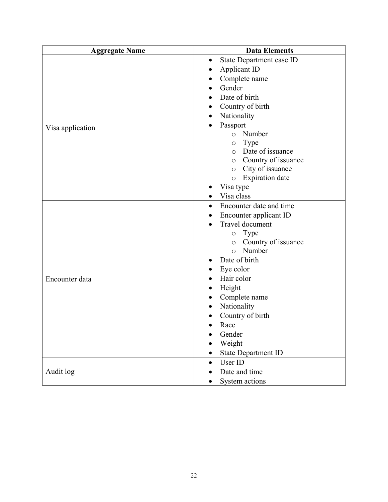| <b>Aggregate Name</b> | <b>Data Elements</b>                  |
|-----------------------|---------------------------------------|
|                       | State Department case ID<br>$\bullet$ |
|                       | Applicant ID                          |
|                       | Complete name<br>٠                    |
|                       | Gender<br>$\bullet$                   |
|                       | Date of birth<br>$\bullet$            |
|                       | Country of birth                      |
|                       | Nationality<br>$\bullet$              |
| Visa application      | Passport                              |
|                       | Number<br>$\circ$                     |
|                       | Type<br>$\bigcirc$                    |
|                       | Date of issuance<br>$\circ$           |
|                       | Country of issuance<br>$\circ$        |
|                       | City of issuance<br>$\circ$           |
|                       | <b>Expiration</b> date<br>$\circ$     |
|                       | Visa type                             |
|                       | Visa class                            |
|                       | Encounter date and time<br>$\bullet$  |
|                       | Encounter applicant ID                |
|                       | Travel document                       |
|                       | Type<br>$\circ$                       |
|                       | Country of issuance<br>$\circ$        |
|                       | Number<br>$\circ$                     |
|                       | Date of birth                         |
|                       | Eye color                             |
| Encounter data        | Hair color<br>$\bullet$               |
|                       | Height<br>٠                           |
|                       | Complete name<br>$\bullet$            |
|                       | Nationality                           |
|                       | Country of birth                      |
|                       | Race                                  |
|                       | Gender                                |
|                       | Weight                                |
|                       | <b>State Department ID</b>            |
|                       | User ID<br>$\bullet$                  |
| Audit log             | Date and time                         |
|                       | System actions                        |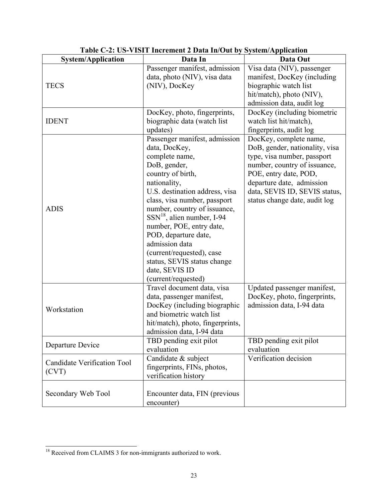| <b>System/Application</b>                   | Data In                                                                                                                                                                                                                                                                                                                                                                                                                               | Data Out                                                                                                                                                                                                                                        |
|---------------------------------------------|---------------------------------------------------------------------------------------------------------------------------------------------------------------------------------------------------------------------------------------------------------------------------------------------------------------------------------------------------------------------------------------------------------------------------------------|-------------------------------------------------------------------------------------------------------------------------------------------------------------------------------------------------------------------------------------------------|
| <b>TECS</b>                                 | Passenger manifest, admission<br>data, photo (NIV), visa data<br>(NIV), DocKey                                                                                                                                                                                                                                                                                                                                                        | Visa data (NIV), passenger<br>manifest, DocKey (including<br>biographic watch list<br>hit/match), photo (NIV),<br>admission data, audit log                                                                                                     |
| <b>IDENT</b>                                | DocKey, photo, fingerprints,<br>biographic data (watch list<br>updates)                                                                                                                                                                                                                                                                                                                                                               | DocKey (including biometric<br>watch list hit/match),<br>fingerprints, audit log                                                                                                                                                                |
| <b>ADIS</b>                                 | Passenger manifest, admission<br>data, DocKey,<br>complete name,<br>DoB, gender,<br>country of birth,<br>nationality,<br>U.S. destination address, visa<br>class, visa number, passport<br>number, country of issuance,<br>$SSN^{18}$ , alien number, I-94<br>number, POE, entry date,<br>POD, departure date,<br>admission data<br>(current/requested), case<br>status, SEVIS status change<br>date, SEVIS ID<br>(current/requested) | DocKey, complete name,<br>DoB, gender, nationality, visa<br>type, visa number, passport<br>number, country of issuance,<br>POE, entry date, POD,<br>departure date, admission<br>data, SEVIS ID, SEVIS status,<br>status change date, audit log |
| Workstation                                 | Travel document data, visa<br>data, passenger manifest,<br>DocKey (including biographic<br>and biometric watch list<br>hit/match), photo, fingerprints,<br>admission data, I-94 data                                                                                                                                                                                                                                                  | Updated passenger manifest,<br>DocKey, photo, fingerprints,<br>admission data, I-94 data                                                                                                                                                        |
| Departure Device                            | TBD pending exit pilot<br>evaluation                                                                                                                                                                                                                                                                                                                                                                                                  | TBD pending exit pilot<br>evaluation                                                                                                                                                                                                            |
| <b>Candidate Verification Tool</b><br>(CVT) | Candidate & subject<br>fingerprints, FINs, photos,<br>verification history                                                                                                                                                                                                                                                                                                                                                            | Verification decision                                                                                                                                                                                                                           |
| Secondary Web Tool                          | Encounter data, FIN (previous<br>encounter)                                                                                                                                                                                                                                                                                                                                                                                           |                                                                                                                                                                                                                                                 |

**Table C-2: US-VISIT Increment 2 Data In/Out by System/Application** 

 $\overline{\phantom{a}}$ 

 $18$  Received from CLAIMS 3 for non-immigrants authorized to work.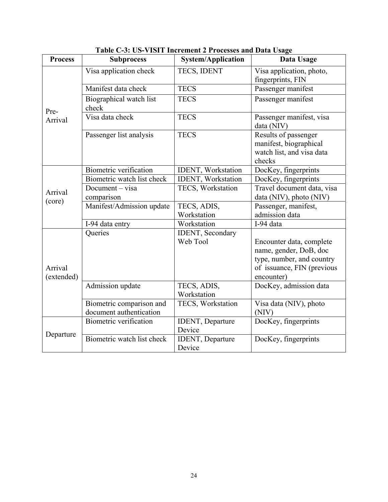| <b>Process</b>                                                | <b>Subprocess</b>                                   | <b>System/Application</b>            | Data Usage                                                                                                                  |  |  |
|---------------------------------------------------------------|-----------------------------------------------------|--------------------------------------|-----------------------------------------------------------------------------------------------------------------------------|--|--|
|                                                               | Visa application check                              | TECS, IDENT                          | Visa application, photo,<br>fingerprints, FIN                                                                               |  |  |
| Pre-<br>Arrival<br>Arrival<br>(core)<br>Arrival<br>(extended) | Manifest data check                                 | <b>TECS</b>                          | Passenger manifest                                                                                                          |  |  |
|                                                               | Biographical watch list<br>check                    | <b>TECS</b>                          | Passenger manifest                                                                                                          |  |  |
|                                                               | Visa data check                                     | <b>TECS</b>                          | Passenger manifest, visa<br>data (NIV)                                                                                      |  |  |
|                                                               | Passenger list analysis                             | <b>TECS</b>                          | Results of passenger<br>manifest, biographical<br>watch list, and visa data<br>checks                                       |  |  |
|                                                               | Biometric verification                              | IDENT, Workstation                   | DocKey, fingerprints                                                                                                        |  |  |
|                                                               | Biometric watch list check                          | IDENT, Workstation                   | DocKey, fingerprints                                                                                                        |  |  |
| Departure                                                     | Document - visa<br>comparison                       | TECS, Workstation                    | Travel document data, visa<br>data (NIV), photo (NIV)                                                                       |  |  |
|                                                               | Manifest/Admission update                           | TECS, ADIS,<br>Workstation           | Passenger, manifest,<br>admission data                                                                                      |  |  |
|                                                               | I-94 data entry                                     | Workstation                          | I-94 data                                                                                                                   |  |  |
|                                                               | Queries                                             | <b>IDENT</b> , Secondary<br>Web Tool | Encounter data, complete<br>name, gender, DoB, doc<br>type, number, and country<br>of issuance, FIN (previous<br>encounter) |  |  |
|                                                               | Admission update                                    | TECS, ADIS,<br>Workstation           | DocKey, admission data                                                                                                      |  |  |
|                                                               | Biometric comparison and<br>document authentication | TECS, Workstation                    | Visa data (NIV), photo<br>(NIV)                                                                                             |  |  |
|                                                               | <b>Biometric verification</b>                       | IDENT, Departure<br>Device           | DocKey, fingerprints                                                                                                        |  |  |
|                                                               | Biometric watch list check                          | <b>IDENT</b> , Departure<br>Device   | DocKey, fingerprints                                                                                                        |  |  |

**Table C-3: US-VISIT Increment 2 Processes and Data Usage**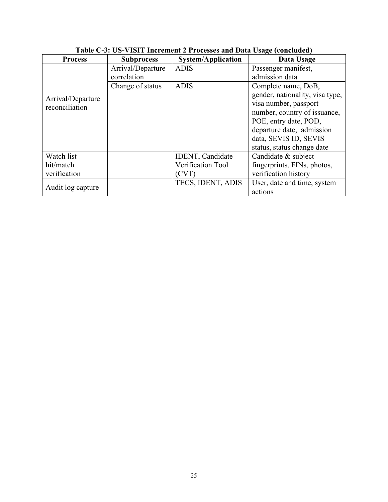| <b>Process</b>                      | <b>Subprocess</b> | <b>System/Application</b> | Data Usage                      |
|-------------------------------------|-------------------|---------------------------|---------------------------------|
|                                     | Arrival/Departure | <b>ADIS</b>               | Passenger manifest,             |
| Arrival/Departure<br>reconciliation | correlation       |                           | admission data                  |
|                                     | Change of status  | <b>ADIS</b>               | Complete name, DoB,             |
|                                     |                   |                           | gender, nationality, visa type, |
|                                     |                   |                           | visa number, passport           |
|                                     |                   |                           | number, country of issuance,    |
|                                     |                   |                           | POE, entry date, POD,           |
|                                     |                   |                           | departure date, admission       |
|                                     |                   |                           | data, SEVIS ID, SEVIS           |
|                                     |                   |                           | status, status change date      |
| Watch list                          |                   | <b>IDENT, Candidate</b>   | Candidate & subject             |
| hit/match                           |                   | Verification Tool         | fingerprints, FINs, photos,     |
| verification                        |                   | (CVT)                     | verification history            |
| Audit log capture                   |                   | TECS, IDENT, ADIS         | User, date and time, system     |
|                                     |                   |                           | actions                         |

# **Table C-3: US-VISIT Increment 2 Processes and Data Usage (concluded)**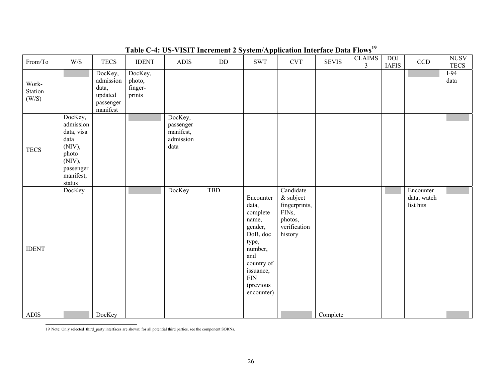| Table C-4: US-VISIT Increment 2 System/Application interface Data Flows |                                                                                                                     |                                                                   |                                        |                                                        |     |                                                                                                                                                                 |                                                                                                   |              |                                 |                            |                                       |                            |
|-------------------------------------------------------------------------|---------------------------------------------------------------------------------------------------------------------|-------------------------------------------------------------------|----------------------------------------|--------------------------------------------------------|-----|-----------------------------------------------------------------------------------------------------------------------------------------------------------------|---------------------------------------------------------------------------------------------------|--------------|---------------------------------|----------------------------|---------------------------------------|----------------------------|
| From/To                                                                 | $\ensuremath{\text{W}}\xspace/\ensuremath{\text{S}}$                                                                | <b>TECS</b>                                                       | <b>IDENT</b>                           | ADIS                                                   | DD  | <b>SWT</b>                                                                                                                                                      | <b>CVT</b>                                                                                        | <b>SEVIS</b> | <b>CLAIMS</b><br>$\mathfrak{Z}$ | <b>DOJ</b><br><b>IAFIS</b> | $\rm CCD$                             | <b>NUSV</b><br><b>TECS</b> |
| Work-<br>Station<br>(W/S)                                               |                                                                                                                     | DocKey,<br>admission<br>data,<br>updated<br>passenger<br>manifest | DocKey,<br>photo,<br>finger-<br>prints |                                                        |     |                                                                                                                                                                 |                                                                                                   |              |                                 |                            |                                       | $I-94$<br>data             |
| <b>TECS</b>                                                             | DocKey,<br>admission<br>data, visa<br>data<br>(NIV),<br>photo<br>(NIV),<br>passenger<br>manifest,<br>${\rm status}$ |                                                                   |                                        | DocKey,<br>passenger<br>manifest,<br>admission<br>data |     |                                                                                                                                                                 |                                                                                                   |              |                                 |                            |                                       |                            |
| <b>IDENT</b>                                                            | DocKey                                                                                                              |                                                                   |                                        | DocKey                                                 | TBD | Encounter<br>data,<br>complete<br>name,<br>gender,<br>DoB, doc<br>type,<br>number,<br>and<br>country of<br>issuance,<br>$\text{FIN}$<br>(previous<br>encounter) | Candidate<br>& subject<br>fingerprints,<br>FIN <sub>s</sub><br>photos,<br>verification<br>history |              |                                 |                            | Encounter<br>data, watch<br>list hits |                            |
| <b>ADIS</b>                                                             |                                                                                                                     | DocKey                                                            |                                        |                                                        |     |                                                                                                                                                                 |                                                                                                   | Complete     |                                 |                            |                                       |                            |

**Table C-4: US-VISIT Increment 2 System/Application Interface Data Flows<sup>19</sup>**

19 Note: Only selected third party interfaces are shown; for all potential third parties, see the component SORNs. -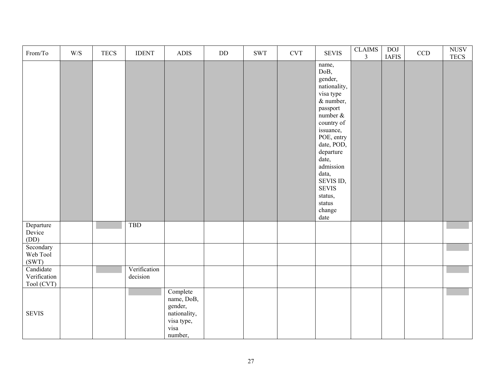| From/To                                 | $\ensuremath{\text{W}}\xspace/\ensuremath{\text{S}}$ | <b>TECS</b> | <b>IDENT</b>             | ${\bf ADIS}$                                                                       | $\rm{DD}$ | $\operatorname{SWT}$ | $\ensuremath{\mathrm{CVT}}$ | <b>SEVIS</b>                                                                                                                                                                                                                                                                   | $\overline{\text{CLAIMS}}$<br>$\overline{3}$ | <b>DOJ</b><br><b>IAFIS</b> | $\ensuremath{\mathrm{CCD}}$ | <b>NUSV</b><br><b>TECS</b> |
|-----------------------------------------|------------------------------------------------------|-------------|--------------------------|------------------------------------------------------------------------------------|-----------|----------------------|-----------------------------|--------------------------------------------------------------------------------------------------------------------------------------------------------------------------------------------------------------------------------------------------------------------------------|----------------------------------------------|----------------------------|-----------------------------|----------------------------|
|                                         |                                                      |             |                          |                                                                                    |           |                      |                             | name,<br>DoB,<br>gender,<br>nationality,<br>visa type<br>& number,<br>passport<br>number $\&$<br>country of<br>issuance,<br>POE, entry<br>date, POD,<br>departure<br>date,<br>admission<br>data,<br>SEVIS ID,<br>SEVIS<br>status,<br>$\operatorname{status}$<br>change<br>date |                                              |                            |                             |                            |
| Departure<br>Device<br>(DD)             |                                                      |             | <b>TBD</b>               |                                                                                    |           |                      |                             |                                                                                                                                                                                                                                                                                |                                              |                            |                             |                            |
| Secondary<br>Web Tool<br>(SWT)          |                                                      |             |                          |                                                                                    |           |                      |                             |                                                                                                                                                                                                                                                                                |                                              |                            |                             |                            |
| Candidate<br>Verification<br>Tool (CVT) |                                                      |             | Verification<br>decision |                                                                                    |           |                      |                             |                                                                                                                                                                                                                                                                                |                                              |                            |                             |                            |
| <b>SEVIS</b>                            |                                                      |             |                          | Complete<br>name, DoB,<br>gender,<br>nationality,<br>visa type,<br>visa<br>number, |           |                      |                             |                                                                                                                                                                                                                                                                                |                                              |                            |                             |                            |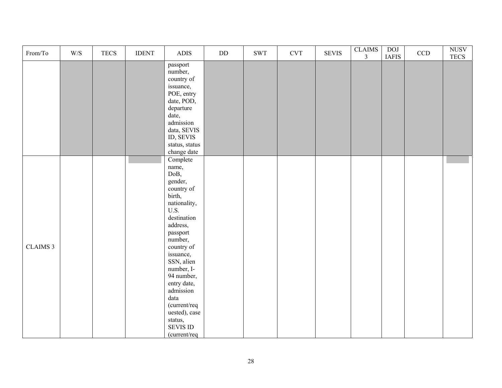| From/To         | $\ensuremath{\text{W}}\xspace/\ensuremath{\text{S}}$ | <b>TECS</b> | <b>IDENT</b> | ADIS                                                                                                                                                                                                                                                                                                                             | $\rm DD$ | $\operatorname{SWT}$ | <b>CVT</b> | <b>SEVIS</b> | <b>CLAIMS</b><br>$\mathfrak{Z}$ | <b>DOI</b><br><b>IAFIS</b> | $\ensuremath{\mathsf{CCD}}$ | $\overline{\text{NUSV}}$<br><b>TECS</b> |
|-----------------|------------------------------------------------------|-------------|--------------|----------------------------------------------------------------------------------------------------------------------------------------------------------------------------------------------------------------------------------------------------------------------------------------------------------------------------------|----------|----------------------|------------|--------------|---------------------------------|----------------------------|-----------------------------|-----------------------------------------|
|                 |                                                      |             |              | passport<br>number,<br>country of<br>issuance,<br>POE, entry<br>date, POD,<br>departure<br>date,<br>admission<br>data, SEVIS<br>ID, SEVIS<br>status, status<br>change date                                                                                                                                                       |          |                      |            |              |                                 |                            |                             |                                         |
| <b>CLAIMS 3</b> |                                                      |             |              | Complete<br>name,<br>DoB,<br>gender,<br>country of<br>birth,<br>nationality,<br>U.S.<br>destination<br>address,<br>passport<br>number,<br>country of<br>issuance,<br>SSN, alien<br>number, I-<br>94 number,<br>entry date,<br>admission<br>$\text{data}$<br>(current/req<br>uested), case<br>status,<br>SEVIS ID<br>(current/req |          |                      |            |              |                                 |                            |                             |                                         |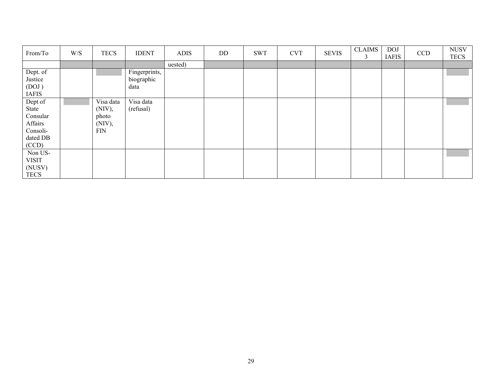| From/To      | W/S | <b>TECS</b> | <b>IDENT</b>  | <b>ADIS</b> | DD | <b>SWT</b> | <b>CVT</b> | <b>SEVIS</b> | <b>CLAIMS</b><br>3 | <b>DOJ</b><br><b>IAFIS</b> | <b>CCD</b> | <b>NUSV</b><br><b>TECS</b> |
|--------------|-----|-------------|---------------|-------------|----|------------|------------|--------------|--------------------|----------------------------|------------|----------------------------|
|              |     |             |               | uested)     |    |            |            |              |                    |                            |            |                            |
| Dept. of     |     |             | Fingerprints, |             |    |            |            |              |                    |                            |            |                            |
| Justice      |     |             | biographic    |             |    |            |            |              |                    |                            |            |                            |
| (DOJ)        |     |             | data          |             |    |            |            |              |                    |                            |            |                            |
| <b>IAFIS</b> |     |             |               |             |    |            |            |              |                    |                            |            |                            |
| Dept of      |     | Visa data   | Visa data     |             |    |            |            |              |                    |                            |            |                            |
| State        |     | $(NIV)$ ,   | (refusal)     |             |    |            |            |              |                    |                            |            |                            |
| Consular     |     | photo       |               |             |    |            |            |              |                    |                            |            |                            |
| Affairs      |     | (NIV),      |               |             |    |            |            |              |                    |                            |            |                            |
| Consoli-     |     | <b>FIN</b>  |               |             |    |            |            |              |                    |                            |            |                            |
| dated DB     |     |             |               |             |    |            |            |              |                    |                            |            |                            |
| (CCD)        |     |             |               |             |    |            |            |              |                    |                            |            |                            |
| Non US-      |     |             |               |             |    |            |            |              |                    |                            |            |                            |
| <b>VISIT</b> |     |             |               |             |    |            |            |              |                    |                            |            |                            |
| (NUSV)       |     |             |               |             |    |            |            |              |                    |                            |            |                            |
| <b>TECS</b>  |     |             |               |             |    |            |            |              |                    |                            |            |                            |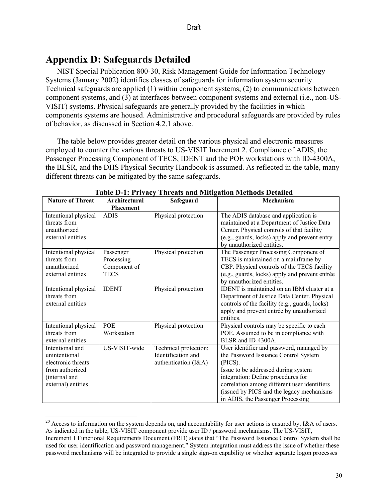# **Appendix D: Safeguards Detailed**

 $\overline{\phantom{a}}$ 

NIST Special Publication 800-30, Risk Management Guide for Information Technology Systems (January 2002) identifies classes of safeguards for information system security. Technical safeguards are applied (1) within component systems, (2) to communications between component systems, and (3) at interfaces between component systems and external (i.e., non-US-VISIT) systems. Physical safeguards are generally provided by the facilities in which components systems are housed. Administrative and procedural safeguards are provided by rules of behavior, as discussed in Section 4.2.1 above.

The table below provides greater detail on the various physical and electronic measures employed to counter the various threats to US-VISIT Increment 2. Compliance of ADIS, the Passenger Processing Component of TECS, IDENT and the POE workstations with ID-4300A, the BLSR, and the DHS Physical Security Handbook is assumed. As reflected in the table, many different threats can be mitigated by the same safeguards.

| <b>Nature of Threat</b>                                                                                          | Architectural<br><b>Placement</b>                      | Safeguard                                                           | Mechanism                                                                                                                                                                                                                                                                                                  |
|------------------------------------------------------------------------------------------------------------------|--------------------------------------------------------|---------------------------------------------------------------------|------------------------------------------------------------------------------------------------------------------------------------------------------------------------------------------------------------------------------------------------------------------------------------------------------------|
| Intentional physical<br>threats from<br>unauthorized<br>external entities                                        | <b>ADIS</b>                                            | Physical protection                                                 | The ADIS database and application is<br>maintained at a Department of Justice Data<br>Center. Physical controls of that facility<br>(e.g., guards, locks) apply and prevent entry<br>by unauthorized entities.                                                                                             |
| Intentional physical<br>threats from<br>unauthorized<br>external entities                                        | Passenger<br>Processing<br>Component of<br><b>TECS</b> | Physical protection                                                 | The Passenger Processing Component of<br>TECS is maintained on a mainframe by<br>CBP. Physical controls of the TECS facility<br>(e.g., guards, locks) apply and prevent entrée<br>by unauthorized entities.                                                                                                |
| Intentional physical<br>threats from<br>external entities                                                        | <b>IDENT</b>                                           | Physical protection                                                 | <b>IDENT</b> is maintained on an IBM cluster at a<br>Department of Justice Data Center. Physical<br>controls of the facility (e.g., guards, locks)<br>apply and prevent entrée by unauthorized<br>entities.                                                                                                |
| Intentional physical<br>threats from<br>external entities                                                        | POE<br>Workstation                                     | Physical protection                                                 | Physical controls may be specific to each<br>POE. Assumed to be in compliance with<br>BLSR and ID-4300A.                                                                                                                                                                                                   |
| Intentional and<br>unintentional<br>electronic threats<br>from authorized<br>(internal and<br>external) entities | US-VISIT-wide                                          | Technical protection:<br>Identification and<br>authentication (I&A) | User identifier and password, managed by<br>the Password Issuance Control System<br>(PICS).<br>Issue to be addressed during system<br>integration: Define procedures for<br>correlation among different user identifiers<br>(issued by PICS and the legacy mechanisms<br>in ADIS, the Passenger Processing |

**Table D-1: Privacy Threats and Mitigation Methods Detailed** 

 $20$  Access to information on the system depends on, and accountability for user actions is ensured by, I&A of users. As indicated in the table, US-VISIT component provide user ID / password mechanisms. The US-VISIT, Increment 1 Functional Requirements Document (FRD) states that "The Password Issuance Control System shall be used for user identification and password management." System integration must address the issue of whether these password mechanisms will be integrated to provide a single sign-on capability or whether separate logon processes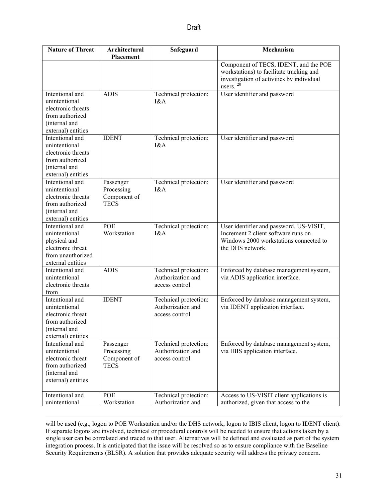| <b>Nature of Threat</b>                                                                                          | Architectural<br>Placement                             | Safeguard                                                    | Mechanism                                                                                                                                    |  |  |  |
|------------------------------------------------------------------------------------------------------------------|--------------------------------------------------------|--------------------------------------------------------------|----------------------------------------------------------------------------------------------------------------------------------------------|--|--|--|
|                                                                                                                  |                                                        |                                                              | Component of TECS, IDENT, and the POE<br>workstations) to facilitate tracking and<br>investigation of activities by individual<br>users.     |  |  |  |
| Intentional and<br>unintentional<br>electronic threats<br>from authorized<br>(internal and<br>external) entities | <b>ADIS</b>                                            | Technical protection:<br>I&A                                 | User identifier and password                                                                                                                 |  |  |  |
| Intentional and<br>unintentional<br>electronic threats<br>from authorized<br>(internal and<br>external) entities | <b>IDENT</b>                                           | Technical protection:<br>I&A                                 | User identifier and password                                                                                                                 |  |  |  |
| Intentional and<br>unintentional<br>electronic threats<br>from authorized<br>(internal and<br>external) entities | Passenger<br>Processing<br>Component of<br><b>TECS</b> | Technical protection:<br>I&A                                 | User identifier and password                                                                                                                 |  |  |  |
| Intentional and<br>unintentional<br>physical and<br>electronic threat<br>from unauthorized<br>external entities  | POE<br>Workstation                                     | Technical protection:<br>I&A                                 | User identifier and password. US-VISIT,<br>Increment 2 client software runs on<br>Windows 2000 workstations connected to<br>the DHS network. |  |  |  |
| Intentional and<br>unintentional<br>electronic threats<br>from                                                   | <b>ADIS</b>                                            | Technical protection:<br>Authorization and<br>access control | Enforced by database management system,<br>via ADIS application interface.                                                                   |  |  |  |
| Intentional and<br>unintentional<br>electronic threat<br>from authorized<br>(internal and<br>external) entities  | <b>IDENT</b>                                           | Technical protection:<br>Authorization and<br>access control | Enforced by database management system,<br>via IDENT application interface.                                                                  |  |  |  |
| Intentional and<br>unintentional<br>electronic threat<br>from authorized<br>(internal and<br>external) entities  | Passenger<br>Processing<br>Component of<br><b>TECS</b> | Technical protection:<br>Authorization and<br>access control | Enforced by database management system,<br>via IBIS application interface.                                                                   |  |  |  |
| Intentional and<br>unintentional                                                                                 | POE<br>Workstation                                     | Technical protection:<br>Authorization and                   | Access to US-VISIT client applications is<br>authorized, given that access to the                                                            |  |  |  |

 $\overline{\phantom{a}}$ will be used (e.g., logon to POE Workstation and/or the DHS network, logon to IBIS client, logon to IDENT client). If separate logons are involved, technical or procedural controls will be needed to ensure that actions taken by a single user can be correlated and traced to that user. Alternatives will be defined and evaluated as part of the system integration process. It is anticipated that the issue will be resolved so as to ensure compliance with the Baseline Security Requirements (BLSR). A solution that provides adequate security will address the privacy concern.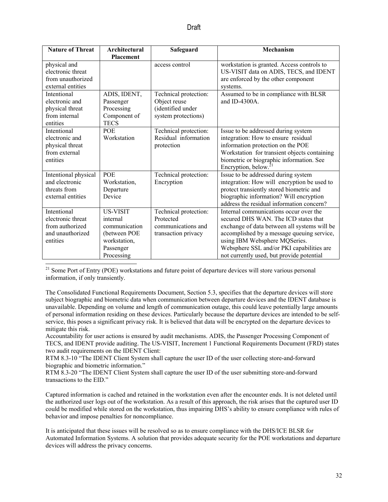| <b>Nature of Threat</b> | Architectural    | Safeguard             | <b>Mechanism</b>                             |  |  |
|-------------------------|------------------|-----------------------|----------------------------------------------|--|--|
|                         | <b>Placement</b> |                       |                                              |  |  |
| physical and            |                  | access control        | workstation is granted. Access controls to   |  |  |
| electronic threat       |                  |                       | US-VISIT data on ADIS, TECS, and IDENT       |  |  |
| from unauthorized       |                  |                       | are enforced by the other component          |  |  |
| external entities       |                  |                       | systems.                                     |  |  |
| Intentional             | ADIS, IDENT,     | Technical protection: | Assumed to be in compliance with BLSR        |  |  |
| electronic and          | Passenger        | Object reuse          | and ID-4300 $A$                              |  |  |
| physical threat         | Processing       | (identified under     |                                              |  |  |
| from internal           | Component of     | system protections)   |                                              |  |  |
| entities                | <b>TECS</b>      |                       |                                              |  |  |
| Intentional             | <b>POE</b>       | Technical protection: | Issue to be addressed during system          |  |  |
| electronic and          | Workstation      | Residual information  | integration: How to ensure residual          |  |  |
| physical threat         |                  | protection            | information protection on the POE            |  |  |
| from external           |                  |                       | Workstation for transient objects containing |  |  |
| entities                |                  |                       | biometric or biographic information. See     |  |  |
|                         |                  |                       | Encryption, below. <sup>2</sup>              |  |  |
| Intentional physical    | POE              | Technical protection: | Issue to be addressed during system          |  |  |
| and electronic          | Workstation,     | Encryption            | integration: How will encryption be used to  |  |  |
| threats from            | Departure        |                       | protect transiently stored biometric and     |  |  |
| external entities       | Device           |                       | biographic information? Will encryption      |  |  |
|                         |                  |                       | address the residual information concern?    |  |  |
| Intentional             | <b>US-VISIT</b>  | Technical protection: | Internal communications occur over the       |  |  |
| electronic threat       | internal         | Protected             | secured DHS WAN. The ICD states that         |  |  |
| from authorized         | communication    | communications and    | exchange of data between all systems will be |  |  |
| and unauthorized        | (between POE     | transaction privacy   | accomplished by a message queuing service,   |  |  |
| entities                | workstation,     |                       | using IBM Websphere MQSeries.                |  |  |
|                         | Passenger        |                       | Websphere SSL and/or PKI capabilities are    |  |  |
|                         | Processing       |                       | not currently used, but provide potential    |  |  |
|                         |                  |                       |                                              |  |  |

<sup>21</sup> Some Port of Entry (POE) workstations and future point of departure devices will store various personal information, if only transiently.

 The Consolidated Functional Requirements Document, Section 5.3, specifies that the departure devices will store subject biographic and biometric data when communication between departure devices and the IDENT database is unavailable. Depending on volume and length of communication outage, this could leave potentially large amounts of personal information residing on these devices. Particularly because the departure devices are intended to be selfservice, this poses a significant privacy risk. It is believed that data will be encrypted on the departure devices to mitigate this risk.

two audit requirements on the IDENT Client: Accountability for user actions is ensured by audit mechanisms. ADIS, the Passenger Processing Component of TECS, and IDENT provide auditing. The US-VISIT, Increment 1 Functional Requirements Document (FRD) states

RTM 8.3-10 "The IDENT Client System shall capture the user ID of the user collecting store-and-forward biographic and biometric information."

RTM 8.3-20 "The IDENT Client System shall capture the user ID of the user submitting store-and-forward transactions to the EID."

 the authorized user logs out of the workstation. As a result of this approach, the risk arises that the captured user ID Captured information is cached and retained in the workstation even after the encounter ends. It is not deleted until could be modified while stored on the workstation, thus impairing DHS's ability to ensure compliance with rules of behavior and impose penalties for noncompliance.

 It is anticipated that these issues will be resolved so as to ensure compliance with the DHS/ICE BLSR for Automated Information Systems. A solution that provides adequate security for the POE workstations and departure devices will address the privacy concerns.